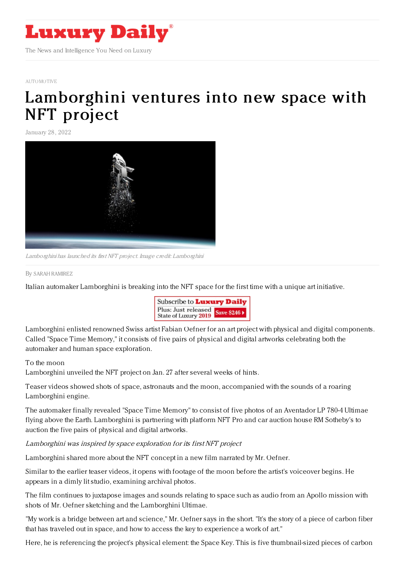

## [AUTOMOTIVE](https://www.luxurydaily.com/category/sectors/automotive-industry-sectors/)

## [Lamborghini](https://www.luxurydaily.com/lamborghini-nft-space-time-memory/) ventures into new space with NFT project

January 28, 2022



Lamborghini has launched its first NFT project. Image credit: Lamborghini

## By SARAH [RAMIREZ](file:///author/sarah-ramirez)

Italian automaker Lamborghini is breaking into the NFT space for the first time with a unique art initiative.



Lamborghini enlisted renowned Swiss artist Fabian Oefner for an art project with physical and digital components. Called "Space Time Memory," it consists of five pairs of physical and digital artworks celebrating both the automaker and human space exploration.

## To the moon

Lamborghini unveiled the NFT project on Jan. 27 after several weeks of hints.

Teaser videos showed shots of space, astronauts and the moon, accompanied with the sounds of a roaring Lamborghini engine.

The automaker finally revealed "Space Time Memory" to consist of five photos of an Aventador LP 780-4 Ultimae flying above the Earth. Lamborghini is partnering with platform NFT Pro and car auction house RM Sotheby's to auction the five pairs of physical and digital artworks.

Lamborghini was inspired by space exploration for its first NFT project

Lamborghini shared more about the NFT concept in a new film narrated by Mr. Oefner.

Similar to the earlier teaser videos, it opens with footage of the moon before the artist's voiceover begins. He appears in a dimly lit studio, examining archival photos.

The film continues to juxtapose images and sounds relating to space such as audio from an Apollo mission with shots of Mr. Oefner sketching and the Lamborghini Ultimae.

"My work is a bridge between art and science," Mr. Oefner says in the short. "It's the story of a piece of carbon fiber that has traveled out in space, and how to access the key to experience a work of art."

Here, he is referencing the project's physical element: the Space Key. This is five thumbnail-sized pieces of carbon